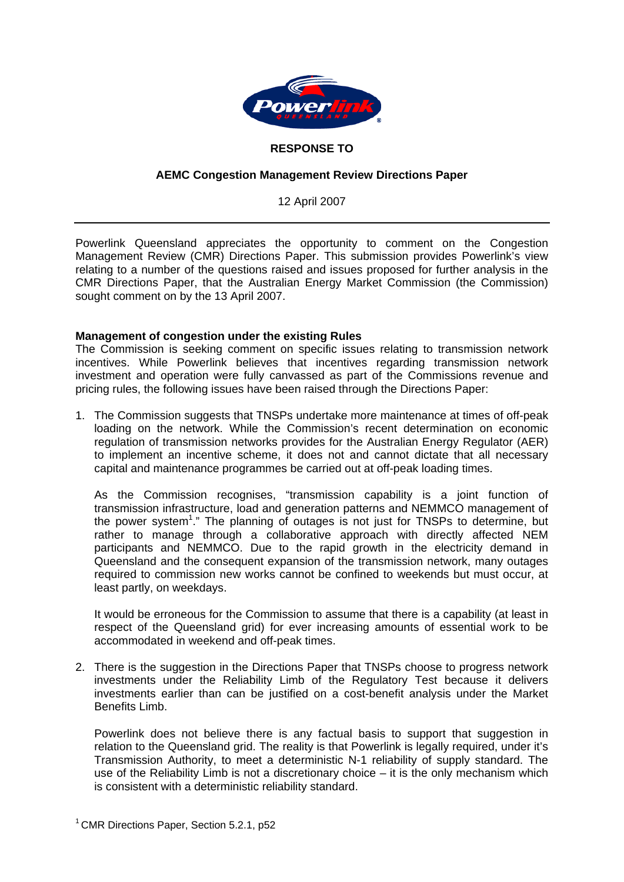

# **RESPONSE TO**

## **AEMC Congestion Management Review Directions Paper**

12 April 2007

Powerlink Queensland appreciates the opportunity to comment on the Congestion Management Review (CMR) Directions Paper. This submission provides Powerlink's view relating to a number of the questions raised and issues proposed for further analysis in the CMR Directions Paper, that the Australian Energy Market Commission (the Commission) sought comment on by the 13 April 2007.

### **Management of congestion under the existing Rules**

The Commission is seeking comment on specific issues relating to transmission network incentives. While Powerlink believes that incentives regarding transmission network investment and operation were fully canvassed as part of the Commissions revenue and pricing rules, the following issues have been raised through the Directions Paper:

1. The Commission suggests that TNSPs undertake more maintenance at times of off-peak loading on the network. While the Commission's recent determination on economic regulation of transmission networks provides for the Australian Energy Regulator (AER) to implement an incentive scheme, it does not and cannot dictate that all necessary capital and maintenance programmes be carried out at off-peak loading times.

As the Commission recognises, "transmission capability is a joint function of transmission infrastructure, load and generation patterns and NEMMCO management of the power system<sup>1</sup>." The planning of outages is not just for TNSPs to determine, but rather to manage through a collaborative approach with directly affected NEM participants and NEMMCO. Due to the rapid growth in the electricity demand in Queensland and the consequent expansion of the transmission network, many outages required to commission new works cannot be confined to weekends but must occur, at least partly, on weekdays.

It would be erroneous for the Commission to assume that there is a capability (at least in respect of the Queensland grid) for ever increasing amounts of essential work to be accommodated in weekend and off-peak times.

2. There is the suggestion in the Directions Paper that TNSPs choose to progress network investments under the Reliability Limb of the Regulatory Test because it delivers investments earlier than can be justified on a cost-benefit analysis under the Market Benefits Limb.

Powerlink does not believe there is any factual basis to support that suggestion in relation to the Queensland grid. The reality is that Powerlink is legally required, under it's Transmission Authority, to meet a deterministic N-1 reliability of supply standard. The use of the Reliability Limb is not a discretionary choice – it is the only mechanism which is consistent with a deterministic reliability standard.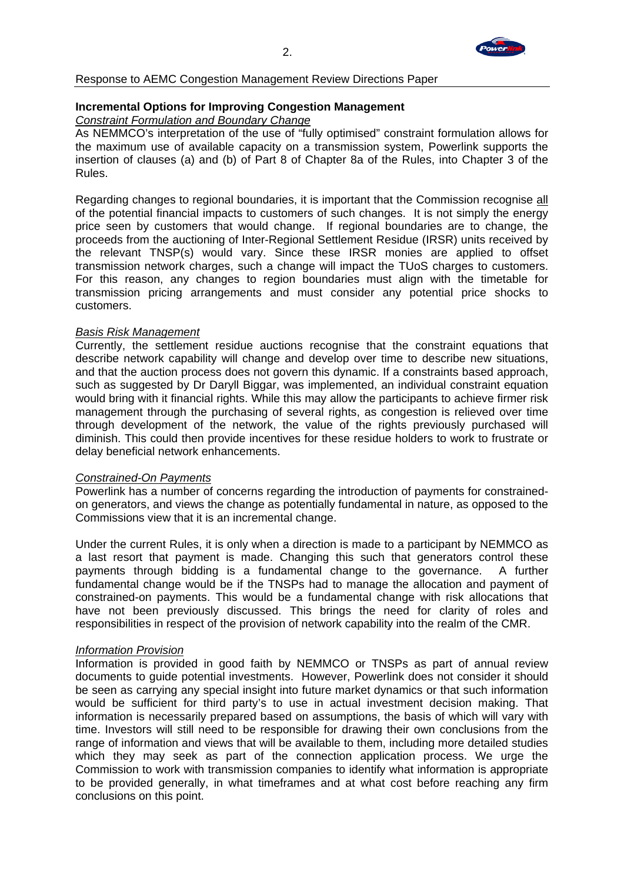

Response to AEMC Congestion Management Review Directions Paper

# **Incremental Options for Improving Congestion Management**

*Constraint Formulation and Boundary Change*

As NEMMCO's interpretation of the use of "fully optimised" constraint formulation allows for the maximum use of available capacity on a transmission system, Powerlink supports the insertion of clauses (a) and (b) of Part 8 of Chapter 8a of the Rules, into Chapter 3 of the Rules.

Regarding changes to regional boundaries, it is important that the Commission recognise all of the potential financial impacts to customers of such changes. It is not simply the energy price seen by customers that would change. If regional boundaries are to change, the proceeds from the auctioning of Inter-Regional Settlement Residue (IRSR) units received by the relevant TNSP(s) would vary. Since these IRSR monies are applied to offset transmission network charges, such a change will impact the TUoS charges to customers. For this reason, any changes to region boundaries must align with the timetable for transmission pricing arrangements and must consider any potential price shocks to customers.

### *Basis Risk Management*

Currently, the settlement residue auctions recognise that the constraint equations that describe network capability will change and develop over time to describe new situations, and that the auction process does not govern this dynamic. If a constraints based approach, such as suggested by Dr Daryll Biggar, was implemented, an individual constraint equation would bring with it financial rights. While this may allow the participants to achieve firmer risk management through the purchasing of several rights, as congestion is relieved over time through development of the network, the value of the rights previously purchased will diminish. This could then provide incentives for these residue holders to work to frustrate or delay beneficial network enhancements.

### *Constrained-On Payments*

Powerlink has a number of concerns regarding the introduction of payments for constrainedon generators, and views the change as potentially fundamental in nature, as opposed to the Commissions view that it is an incremental change.

Under the current Rules, it is only when a direction is made to a participant by NEMMCO as a last resort that payment is made. Changing this such that generators control these payments through bidding is a fundamental change to the governance. A further fundamental change would be if the TNSPs had to manage the allocation and payment of constrained-on payments. This would be a fundamental change with risk allocations that have not been previously discussed. This brings the need for clarity of roles and responsibilities in respect of the provision of network capability into the realm of the CMR.

### *Information Provision*

Information is provided in good faith by NEMMCO or TNSPs as part of annual review documents to guide potential investments. However, Powerlink does not consider it should be seen as carrying any special insight into future market dynamics or that such information would be sufficient for third party's to use in actual investment decision making. That information is necessarily prepared based on assumptions, the basis of which will vary with time. Investors will still need to be responsible for drawing their own conclusions from the range of information and views that will be available to them, including more detailed studies which they may seek as part of the connection application process. We urge the Commission to work with transmission companies to identify what information is appropriate to be provided generally, in what timeframes and at what cost before reaching any firm conclusions on this point.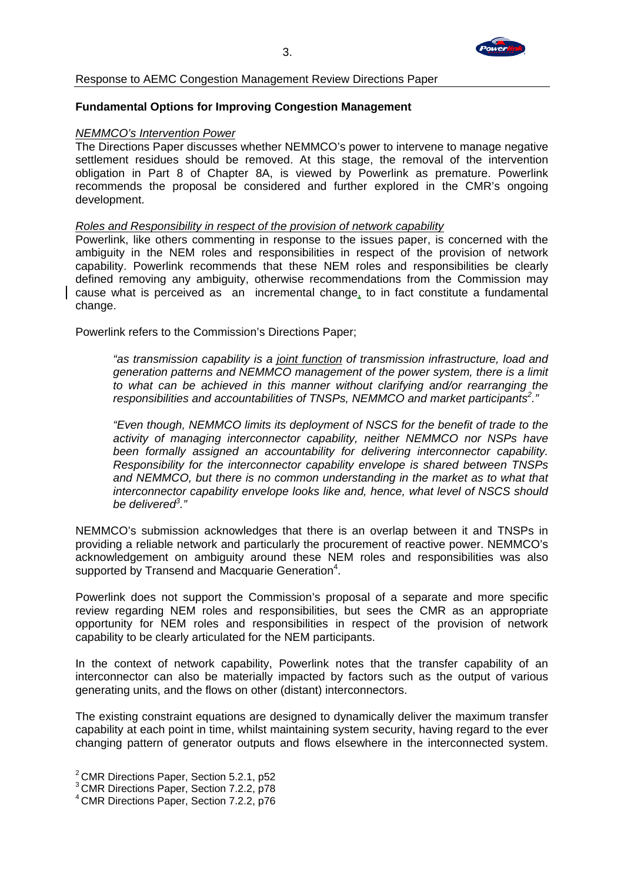

Response to AEMC Congestion Management Review Directions Paper

## **Fundamental Options for Improving Congestion Management**

#### *NEMMCO's Intervention Power*

The Directions Paper discusses whether NEMMCO's power to intervene to manage negative settlement residues should be removed. At this stage, the removal of the intervention obligation in Part 8 of Chapter 8A, is viewed by Powerlink as premature. Powerlink recommends the proposal be considered and further explored in the CMR's ongoing development.

#### *Roles and Responsibility in respect of the provision of network capability*

Powerlink, like others commenting in response to the issues paper, is concerned with the ambiguity in the NEM roles and responsibilities in respect of the provision of network capability. Powerlink recommends that these NEM roles and responsibilities be clearly defined removing any ambiguity, otherwise recommendations from the Commission may cause what is perceived as an incremental change, to in fact constitute a fundamental change.

Powerlink refers to the Commission's Directions Paper;

*"as transmission capability is a joint function of transmission infrastructure, load and generation patterns and NEMMCO management of the power system, there is a limit to what can be achieved in this manner without clarifying and/or rearranging the responsibilities and accountabilities of TNSPs, NEMMCO and market participants<sup>2</sup> ."* 

*"Even though, NEMMCO limits its deployment of NSCS for the benefit of trade to the activity of managing interconnector capability, neither NEMMCO nor NSPs have been formally assigned an accountability for delivering interconnector capability. Responsibility for the interconnector capability envelope is shared between TNSPs and NEMMCO, but there is no common understanding in the market as to what that interconnector capability envelope looks like and, hence, what level of NSCS should be delivered3 ."* 

NEMMCO's submission acknowledges that there is an overlap between it and TNSPs in providing a reliable network and particularly the procurement of reactive power. NEMMCO's acknowledgement on ambiguity around these NEM roles and responsibilities was also supported by Transend and Macquarie Generation<sup>4</sup>.

Powerlink does not support the Commission's proposal of a separate and more specific review regarding NEM roles and responsibilities, but sees the CMR as an appropriate opportunity for NEM roles and responsibilities in respect of the provision of network capability to be clearly articulated for the NEM participants.

In the context of network capability, Powerlink notes that the transfer capability of an interconnector can also be materially impacted by factors such as the output of various generating units, and the flows on other (distant) interconnectors.

The existing constraint equations are designed to dynamically deliver the maximum transfer capability at each point in time, whilst maintaining system security, having regard to the ever changing pattern of generator outputs and flows elsewhere in the interconnected system.

<sup>2</sup> CMR Directions Paper, Section 5.2.1, p52

<sup>3</sup> CMR Directions Paper, Section 7.2.2, p78

<sup>4</sup> CMR Directions Paper, Section 7.2.2, p76